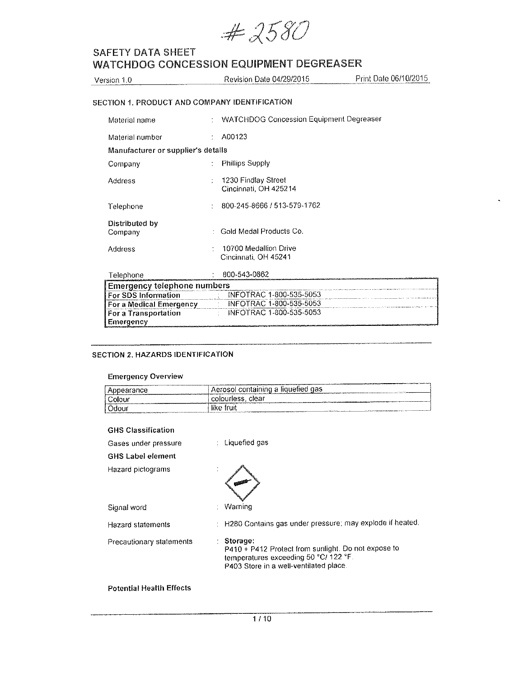$#2580$ 

| Version 1.0     | <b>Revision Date 04/29/2015</b>                | Print Date 06/10/2015 |
|-----------------|------------------------------------------------|-----------------------|
|                 | SECTION 1. PRODUCT AND COMPANY IDENTIFICATION  |                       |
| Material name   | <b>WATCHDOG Concession Equipment Degreaser</b> |                       |
| Material number | A00123                                         |                       |

| Manufacturer or supplier's details |                                                |
|------------------------------------|------------------------------------------------|
| Company                            | <b>Phillips Supply</b>                         |
| Address                            | : 1230 Findlay Street<br>Cincinnati, OH 425214 |
| Telephone                          | 800-245-8666 / 513-579-1762                    |
| Distributed by                     |                                                |

| Company | : Gold Medal Products Co.                     |
|---------|-----------------------------------------------|
| Address | 10700 Medallion Drive<br>Cincinnati, OH 45241 |

| Telephone                   | 800-543-0862            |
|-----------------------------|-------------------------|
| Emergencγ telephone numbers |                         |
| l For SDS Information       | INFOTRAC 1-800-535-5053 |
| l For a Medical Emergency   | INFOTRAC 1-800-535-5053 |
| l For a Transportation      | INFOTRAC 1-800-535-5053 |
| i Emergency                 |                         |

## SECTION 2. HAZARDS IDENTIFICATION

## **Emergency Overview**

|                                                                                                                      | <b>CARLIS ELECTRON</b>                                                                                                                                                                                                                                                                                 |
|----------------------------------------------------------------------------------------------------------------------|--------------------------------------------------------------------------------------------------------------------------------------------------------------------------------------------------------------------------------------------------------------------------------------------------------|
| pearance                                                                                                             | I containing a liquetied gas<br>Aerosol<br>A CANADA Milaysia and programs                                                                                                                                                                                                                              |
| $\sim$<br>olou                                                                                                       | clear<br>colouriess.<br>" commencement and contribute the com-<br><b>New York College and American College and College and College and College and College and College and College and College and College and College and College and College and College and College and College and College and</b> |
| Odou<br>Business conserves an approximately design and the control of the conserves of the control of the control of | $\cdots$<br>шк<br>COLORADO DE CASA EN ENTERADO A EL EL MUELLO E EL MUELLO EL CASA EL EL MUELLO DE CASA EL CASA EL CASA EL CASA EL<br><b>CONTRACTOR DE COMPANY</b><br>2222222223232323232334999999999<br>The most state of the property company company of                                              |

### GHS Classification

| Gases under pressure<br><b>GHS Label element</b> | Liquefied gas                                                                                                                                      |
|--------------------------------------------------|----------------------------------------------------------------------------------------------------------------------------------------------------|
| Hazard pictograms                                |                                                                                                                                                    |
| Signal word                                      | Warning                                                                                                                                            |
| <b>Hazard statements</b>                         | : H280 Contains gas under pressure; may explode if heated.                                                                                         |
| Precautionary statements                         | Storage:<br>P410 + P412 Protect from sunlight. Do not expose to<br>temperatures exceeding 50 °C/ 122 °F.<br>P403 Store in a well-ventilated place. |

## **Potential Health Effects**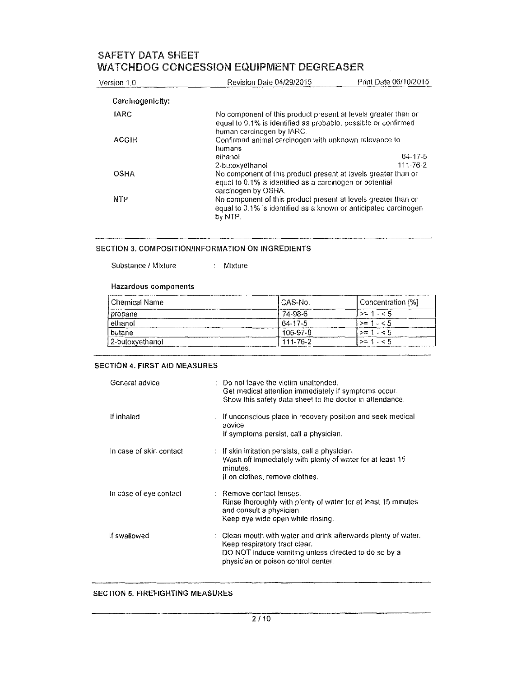| Version 1.0      | Revision Date 04/29/2015                                                                                                                                      | Print Date 06/10/2015 |
|------------------|---------------------------------------------------------------------------------------------------------------------------------------------------------------|-----------------------|
| Carcinogenicity: |                                                                                                                                                               |                       |
| <b>IARC</b>      | No component of this product present at levels greater than or<br>equal to 0.1% is identified as probable, possible or confirmed<br>human carcinogen by IARC. |                       |
| ACGIH            | Confirmed animal carcinogen with unknown relevance to<br>humans                                                                                               |                       |
|                  | ethanol                                                                                                                                                       | 64-17-5               |
|                  | 2-butoxyethanol                                                                                                                                               | 111-76-2              |
| <b>OSHA</b>      | No component of this product present at levels greater than or<br>equal to 0.1% is identified as a carcinogen or potential<br>carcinogen by OSHA.             |                       |
| <b>NTP</b>       | No component of this product present at levels greater than or<br>equal to 0.1% is identified as a known or anticipated carcinogen<br>by NTP.                 |                       |

#### SECTION 3. COMPOSITION/INFORMATION ON INGREDIENTS

Substance / Mixture Mixture

#### **Hazardous components**

| Chemical Name   | I CAS-No.      | Concentration [%] |
|-----------------|----------------|-------------------|
| propane         | 74-98-6        | $> 1 - 5$         |
| ethanol         | 64-17-5        | $>$ = 1 $\le$ 5   |
| butane          | 106-97-8       | $>$ = 1 $\leq$ 5  |
| 2-butoxvethanol | $111 - 76 - 2$ | $> = 1.55$        |

### **SECTION 4. FIRST AID MEASURES**

| General advice          | Do not leave the victim unattended.<br>Get medical attention immediately if symptoms occur.<br>Show this safety data sheet to the doctor in attendance.                                             |
|-------------------------|-----------------------------------------------------------------------------------------------------------------------------------------------------------------------------------------------------|
| If inhaled              | : If unconscious place in recovery position and seek medical<br>advice.<br>If symptoms persist, call a physician.                                                                                   |
| In case of skin contact | $\therefore$ If skin irritation persists, call a physician.<br>Wash off immediately with plenty of water for at least 15<br>minutes.<br>If on clothes, remove clothes.                              |
| In case of eye contact  | : Remove contact lenses.<br>Rinse thoroughly with plenty of water for at least 15 minutes<br>and consult a physician.<br>Keep eye wide open while rinsing.                                          |
| If swallowed            | $\div$ Clean mouth with water and drink afterwards plenty of water.<br>Keep respiratory tract clear.<br>DO NOT induce vomiting unless directed to do so by a<br>physician or poison control center. |

## **SECTION 5. FIREFIGHTING MEASURES**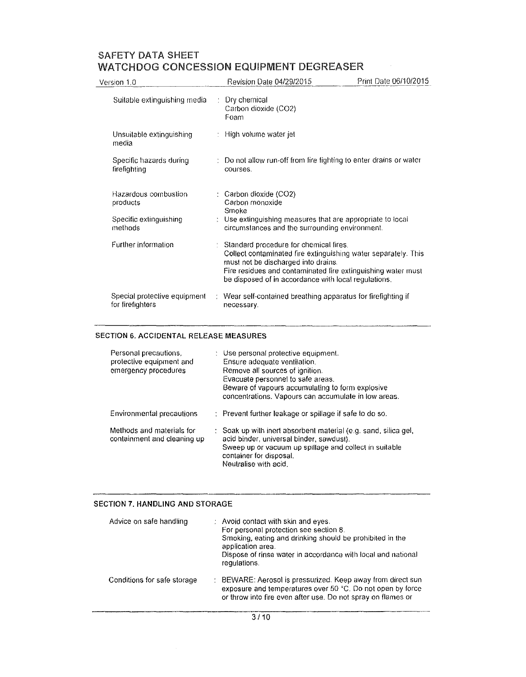## SAFETY DATA SHEET

|                                                  | WATCHDOG CONCESSION EQUIPMENT DEGREASER                                                                                                                                                                                                                                   |                       |
|--------------------------------------------------|---------------------------------------------------------------------------------------------------------------------------------------------------------------------------------------------------------------------------------------------------------------------------|-----------------------|
| Version 1.0                                      | <b>Revision Date 04/29/2015</b>                                                                                                                                                                                                                                           | Print Date 06/10/2015 |
| Suitable extinguishing media                     | Dry chemical<br>Carbon dioxide (CO2)<br>Foam                                                                                                                                                                                                                              |                       |
| Unsuitable extinguishing<br>media                | : High volume water jet                                                                                                                                                                                                                                                   |                       |
| Specific hazards during<br>firefighting          | : Do not allow run-off from fire fighting to enter drains or water<br>courses.                                                                                                                                                                                            |                       |
| Hazardous combustion<br>products                 | : Carbon dioxide (CO2)<br>Carbon monoxide<br>Smoke                                                                                                                                                                                                                        |                       |
| Specific extinguishing<br>methods                | : Use extinguishing measures that are appropriate to local<br>circumstances and the surrounding environment.                                                                                                                                                              |                       |
| Further information                              | : Standard procedure for chemical fires.<br>Collect contaminated fire extinguishing water separately. This<br>must not be discharged into drains.<br>Fire residues and contaminated fire extinguishing water must<br>be disposed of in accordance with local regulations. |                       |
| Special protective equipment<br>for firefighters | : Wear self-contained breathing apparatus for firefighting if<br>necessary.                                                                                                                                                                                               |                       |

## SECTION 6. ACCIDENTAL RELEASE MEASURES

| Personal precautions,<br>protective equipment and<br>emergency procedures | : Use personal protective equipment.<br>Ensure adequate ventilation.<br>Remove all sources of ignition.<br>Evacuate personnel to safe areas.<br>Beware of vapours accumulating to form explosive<br>concentrations. Vapours can accumulate in low areas. |
|---------------------------------------------------------------------------|----------------------------------------------------------------------------------------------------------------------------------------------------------------------------------------------------------------------------------------------------------|
| Environmental precautions                                                 | : Prevent further leakage or spillage if safe to do so.                                                                                                                                                                                                  |
| Methods and materials for<br>containment and cleaning up                  | : Soak up with inert absorbent material (e.g. sand, silica gel,<br>acid binder, universal binder, sawdust).<br>Sweep up or vacuum up spillage and collect in suitable<br>container for disposal.<br>Neutralise with acid.                                |

## **SECTION 7. HANDLING AND STORAGE**

| Advice on safe handling     | : Avoid contact with skin and eyes.<br>For personal protection see section 8.<br>Smoking, eating and drinking should be prohibited in the<br>application area.<br>Dispose of rinse water in accordance with local and national<br>requiations. |
|-----------------------------|------------------------------------------------------------------------------------------------------------------------------------------------------------------------------------------------------------------------------------------------|
| Conditions for safe storage | : BEWARE: Aerosol is pressurized. Keep away from direct sun<br>exposure and temperatures over 50 °C. Do not open by force<br>or throw into fire even after use. Do not spray on flames or                                                      |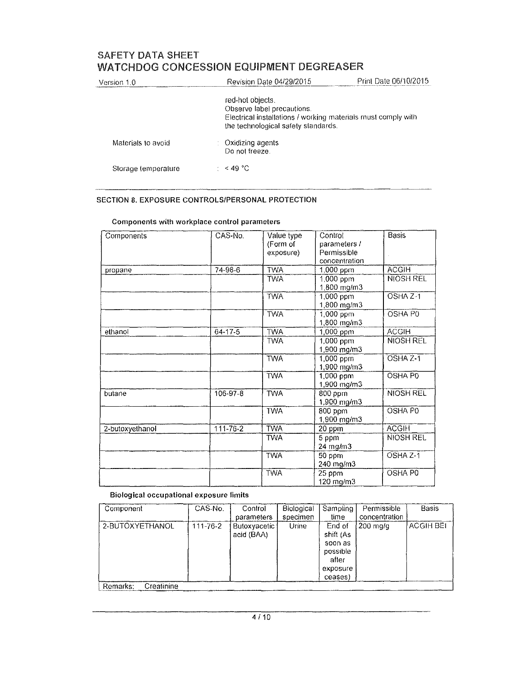| Version 1.0         |  | <b>Revision Date 04/29/2015</b>                                                                                                                        | Print Date 06/10/2015 |
|---------------------|--|--------------------------------------------------------------------------------------------------------------------------------------------------------|-----------------------|
|                     |  | red-hot objects.<br>Observe label precautions.<br>Electrical installations / working materials must comply with<br>the technological safety standards. |                       |
| Materials to avoid  |  | Oxidizing agents<br>Do not freeze.                                                                                                                     |                       |
| Storage temperature |  | $\approx$ 49 °C                                                                                                                                        |                       |

## SECTION 8. EXPOSURE CONTROLS/PERSONAL PROTECTION

| Components      | CAS-No.        | Value type | Control       | <b>Basis</b>        |
|-----------------|----------------|------------|---------------|---------------------|
|                 |                | (Form of   | parameters /  |                     |
|                 |                | exposure)  | Permissible   |                     |
|                 |                |            | concentration |                     |
| propane         | $74-98-6$      | <b>TWA</b> | 1,000 ppm     | <b>ACGIH</b>        |
|                 |                | <b>TWA</b> | 1,000 ppm     | <b>NIOSH REL</b>    |
|                 |                |            | 1,800 mg/m3   |                     |
|                 |                | <b>TWA</b> | 1,000 ppm     | OSHA Z-1            |
|                 |                |            | 1,800 mg/m3   |                     |
|                 |                | <b>TWA</b> | $1,000$ ppm   | OSHA P0             |
|                 |                |            | 1,800 mg/m3   |                     |
| ethanol         | $64 - 17 - 5$  | <b>TWA</b> | 1,000 ppm     | <b>ACGIH</b>        |
|                 |                | <b>TWA</b> | 1,000 ppm     | <b>NIOSH REL</b>    |
|                 |                |            | 1,900 mg/m3   |                     |
|                 |                | <b>TWA</b> | 1,000 ppm     | OSHA <sub>Z-1</sub> |
|                 |                |            | 1,900 mg/m3   |                     |
|                 |                | <b>TWA</b> | 1,000 ppm     | <b>OSHA PO</b>      |
|                 |                |            | 1,900 mg/m3   |                     |
| butane          | 106-97-8       | <b>TWA</b> | 800 ppm       | NIOSH REL           |
|                 |                |            | 1,900 mg/m3   |                     |
|                 |                | <b>TWA</b> | 800 ppm       | OSHA PO             |
|                 |                |            | 1,900 mg/m3   |                     |
| 2-butoxyethanol | $111 - 76 - 2$ | <b>TWA</b> | 20 ppm        | <b>ACGIH</b>        |
|                 |                | <b>TWA</b> | 5 ppm         | NIOSH REL           |
|                 |                |            | 24 mg/m3      |                     |
|                 |                | <b>TWA</b> | 50 ppm        | OSHA Z-1            |
|                 |                |            | 240 mg/m3     |                     |
|                 |                | <b>TWA</b> | 25 ppm        | OSHA P0             |
|                 |                |            | 120 mg/m3     |                     |

## **Components with workplace control parameters**

### **Biological occupational exposure flmits**

| Component              | CAS-No.        | Control                           | Biological | Sampling                                                        | Permissible   | Basis            |
|------------------------|----------------|-----------------------------------|------------|-----------------------------------------------------------------|---------------|------------------|
|                        |                | parameters                        | specimen   | time                                                            | concentration |                  |
| 2-BUTOXYETHANOL        | $111 - 76 - 2$ | <b>Butoxyacetic</b><br>acid (BAA) | Urine      | End of<br>shift (As<br>soon as<br>possible<br>after<br>exposure | . 200 mg/g    | <b>ACGIH BEI</b> |
|                        |                |                                   |            | ceases)                                                         |               |                  |
| Creatinine<br>Remarks. |                |                                   |            |                                                                 |               |                  |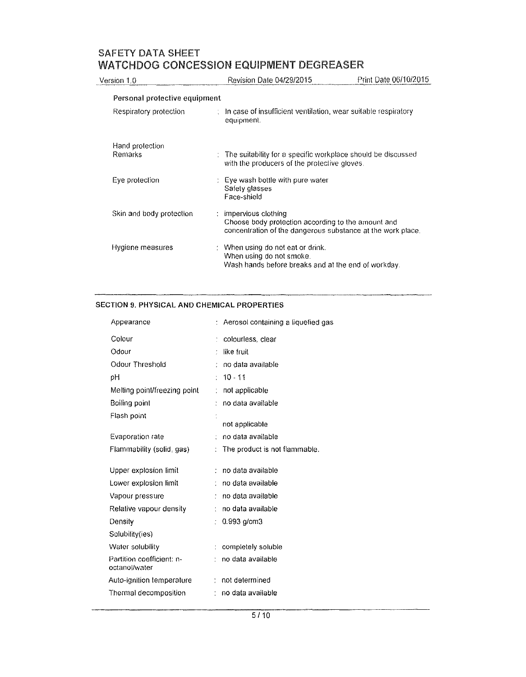| Version 1.0                   | Revision Date 04/29/2015                                                                                                                      | Print Date 06/10/2015 |
|-------------------------------|-----------------------------------------------------------------------------------------------------------------------------------------------|-----------------------|
| Personal protective equipment |                                                                                                                                               |                       |
| Respiratory protection        | $\therefore$ In case of insufficient ventilation, wear suitable respiratory<br>equipment.                                                     |                       |
| Hand protection<br>Remarks    | : The suitability for a specific workplace should be discussed<br>with the producers of the protective gloves.                                |                       |
| Eye protection                | $\pm$ Eye wash bottle with pure water<br>Safety glasses<br>Face-shield                                                                        |                       |
| Skin and body protection      | impervious clothing<br>÷<br>Choose body protection according to the amount and<br>concentration of the dangerous substance at the work place. |                       |
| Hygiene measures              | : When using do not eat or drink.<br>When using do not smoke.<br>Wash hands before breaks and at the end of workday.                          |                       |

## **SECTION 9. PHYSICAL ANO CHEMICAL PROPERTIES**

| Appearance                                 |    | Aerosol containing a liquefied gas |
|--------------------------------------------|----|------------------------------------|
| Colour                                     |    | colourless, clear                  |
| Odour                                      |    | like fruit                         |
| Odour Threshold                            | ÷. | no data available                  |
| рH                                         |    | $10 - 11$                          |
| Melting point/freezing point               | ÷  | not applicable                     |
| Boiling point                              |    | no data available                  |
| Flash point                                |    | not applicable                     |
| Evaporation rate                           |    | no data available                  |
| Flammability (solid, gas)                  |    | The product is not flammable.      |
| Upper explosion limit                      |    | no data available                  |
| Lower explosion limit                      |    | no data available                  |
| Vapour pressure                            |    | no data available                  |
| Relative vapour density                    |    | no data available                  |
| Density                                    |    | $0.993$ g/cm $3$                   |
| Solubility(ies)                            |    |                                    |
| Water solubility                           |    | completely soluble                 |
| Partition coefficient: n-<br>octanol/water |    | no data available                  |
| Auto-ignition temperature                  |    | : not determined                   |
| Thermal decomposition                      |    | no data available                  |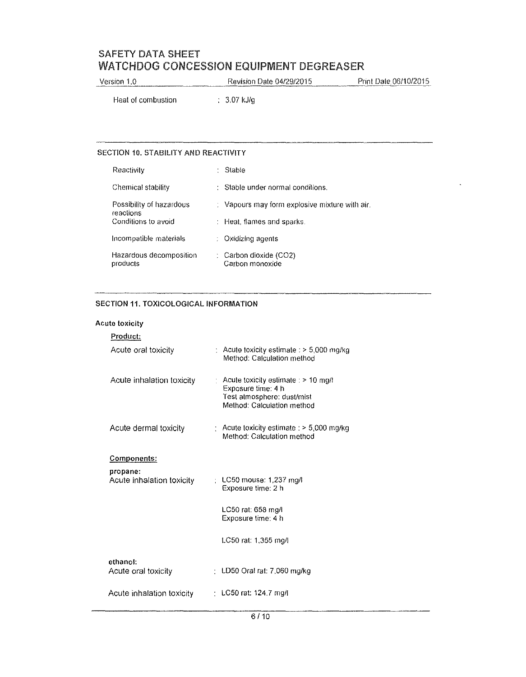Version 1.0 Revision Date 04/29/2015 Print Date 06/10/2015

Heat of combustion (3.07 kJ/g)

## SECTION 10. STABILITY AND REACTIVITY

| <b>Reactivity</b>                     | Stable                                         |
|---------------------------------------|------------------------------------------------|
| Chemical stability                    | : Stable under normal conditions.              |
| Possibility of hazardous<br>reactions | : Vapours may form explosive mixture with air. |
| Conditions to avoid                   | : Heat, flames and sparks.                     |
| Incompatible materials                | : Oxidizing agents                             |
| Hazardous decomposition<br>products   | : Carbon dioxide (CO2)<br>Carbon monoxide      |

## **SECTION 11. TOXICOLOGICAL INFORMATION**

## **Acute toxicity**

| $\therefore$ Acute toxicity estimate $\therefore$ 5,000 mg/kg<br>Method: Calculation method                             |
|-------------------------------------------------------------------------------------------------------------------------|
| Acute toxicity estimate : $> 10$ mg/l<br>Exposure time: 4 h<br>Test atmosphere: dust/mist<br>Method: Calculation method |
| $\pm$ Acute toxicity estimate $\pm$ 5,000 mg/kg<br>Method: Calculation method                                           |
|                                                                                                                         |
| $\pm$ LC50 mouse: 1,237 mg/l<br>Exposure time: 2 h                                                                      |
| LC50 rat: 658 mg/l<br>Exposure time: 4 h                                                                                |
| LC50 rat: 1,355 mg/l                                                                                                    |
| : LD50 Oral rat: 7,060 mg/kg                                                                                            |
| LC50 rat: 124.7 mg/l                                                                                                    |
|                                                                                                                         |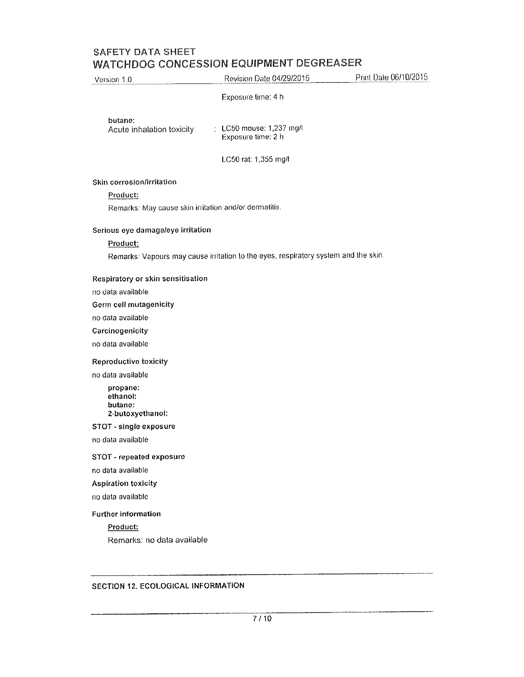# SAFETY DATA SHEET

| Version 1.0                                           | Revision Date 04/29/2015                                                            | Print Date 06/10/2015 |
|-------------------------------------------------------|-------------------------------------------------------------------------------------|-----------------------|
|                                                       | Exposure time: 4 h                                                                  |                       |
| butane:<br>Acute inhalation toxicity                  | : LC50 mouse: 1,237 mg/l<br>Exposure time: 2 h                                      |                       |
|                                                       | LC50 rat: 1,355 mg/l                                                                |                       |
| Skin corrosion/irritation                             |                                                                                     |                       |
| Product:                                              |                                                                                     |                       |
| Remarks: May cause skin irritation and/or dermatitis. |                                                                                     |                       |
| Serious eye damage/eye irritation                     |                                                                                     |                       |
| Product:                                              |                                                                                     |                       |
|                                                       | Remarks: Vapours may cause irritation to the eyes, respiratory system and the skin. |                       |
| Respiratory or skin sensitisation                     |                                                                                     |                       |
| no data available                                     |                                                                                     |                       |
| Germ cell mutagenicity                                |                                                                                     |                       |
| no data available                                     |                                                                                     |                       |
| Carcinogenicity                                       |                                                                                     |                       |
| no data available                                     |                                                                                     |                       |
| Reproductive toxicity                                 |                                                                                     |                       |
| no data available                                     |                                                                                     |                       |
| propane:<br>ethanol:<br>butane:<br>2-butoxyethanol:   |                                                                                     |                       |
| STOT - single exposure                                |                                                                                     |                       |
| no data available                                     |                                                                                     |                       |
| STOT - repeated exposure                              |                                                                                     |                       |
| no data available                                     |                                                                                     |                       |
| <b>Aspiration toxicity</b>                            |                                                                                     |                       |
| no data available                                     |                                                                                     |                       |
| <b>Further information</b>                            |                                                                                     |                       |
| Product:                                              |                                                                                     |                       |
| Remarks: no data available                            |                                                                                     |                       |
|                                                       |                                                                                     |                       |
|                                                       |                                                                                     |                       |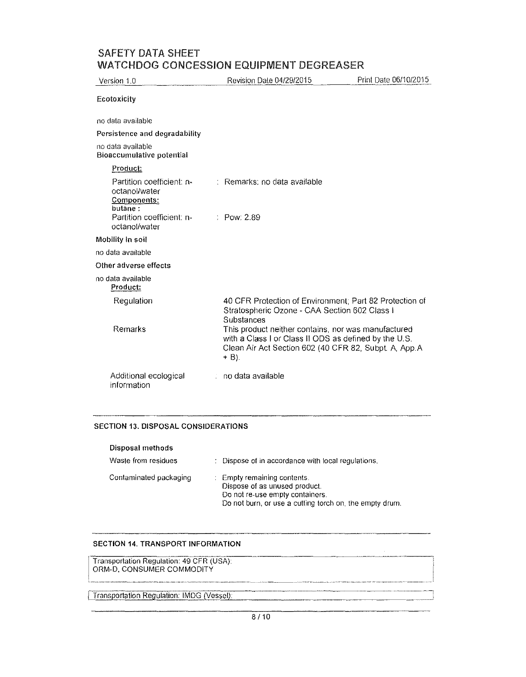| Version 1.0                                                          | Revision Date 04/29/2015                                                                                                                                                       | Print Date 06/10/2015 |
|----------------------------------------------------------------------|--------------------------------------------------------------------------------------------------------------------------------------------------------------------------------|-----------------------|
| Ecotoxicity                                                          |                                                                                                                                                                                |                       |
| no data available                                                    |                                                                                                                                                                                |                       |
| Persistence and degradability                                        |                                                                                                                                                                                |                       |
| no data available<br><b>Bioaccumulative potential</b>                |                                                                                                                                                                                |                       |
| Product:                                                             |                                                                                                                                                                                |                       |
| Partition coefficient: n-<br>octanol/water<br>Components:<br>butane: | : Remarks: no data available                                                                                                                                                   |                       |
| Partition coefficient: n-<br>octanol/water                           | $\therefore$ Pow: 2.89                                                                                                                                                         |                       |
| Mobility in soil                                                     |                                                                                                                                                                                |                       |
| no data available                                                    |                                                                                                                                                                                |                       |
| Other adverse effects                                                |                                                                                                                                                                                |                       |
| no data available<br>Product:                                        |                                                                                                                                                                                |                       |
| Regulation                                                           | 40 CFR Protection of Environment; Part 82 Protection of<br>Stratospheric Ozone - CAA Section 602 Class I<br>Substances                                                         |                       |
| Remarks                                                              | This product neither contains, nor was manufactured<br>with a Class I or Class II ODS as defined by the U.S.<br>Clean Air Act Section 602 (40 CFR 82, Subpt. A, App.A<br>+ B). |                       |
| Additional ecological<br>information                                 | no data available                                                                                                                                                              |                       |

### SECTION 13. DISPOSAL CONSIDERATIONS

| Disposal methods       |                                                                                                                                                            |
|------------------------|------------------------------------------------------------------------------------------------------------------------------------------------------------|
| Waste from residues    | : Dispose of in accordance with local regulations.                                                                                                         |
| Contaminated packaging | : Empty remaining contents.<br>Dispose of as unused product.<br>Do not re-use empty containers.<br>Do not burn, or use a cutting torch on, the empty drum. |

## SECTION 14, TRANSPORT INFORMATION

 $\vert$  c SECTION 14. TRANSPORT INFORMATION<br>
Transportation Regulation: 49 CFR (USA):<br>
ORM-D, CONSUMER COMMODITY

**Transportation Regulation: IMDG (Vessel)**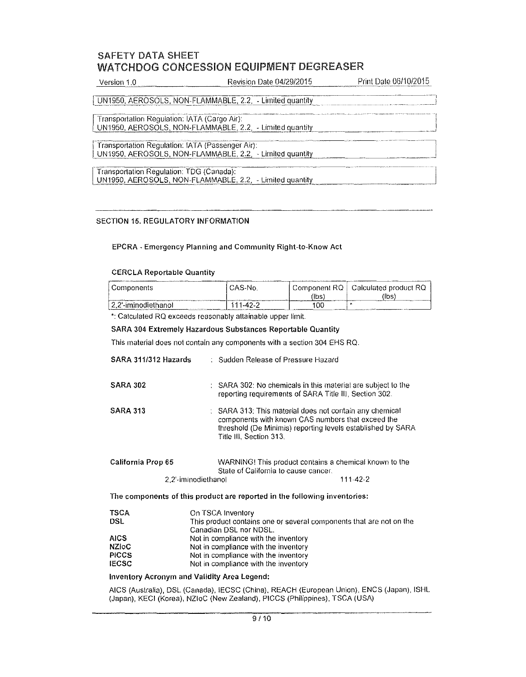| Version 1.0<br>The company's and a company's control to the company's company's company's company's control to the company's company's | Revision Date 04/29/2015 | Print Date 06/10/2015<br>The final state and compared the control of the control of the control of the control of the control of the control of the control of the control of the control of the control of the control of the control of the control o<br>Anderson and the company's series and the proposition of the company of |
|----------------------------------------------------------------------------------------------------------------------------------------|--------------------------|------------------------------------------------------------------------------------------------------------------------------------------------------------------------------------------------------------------------------------------------------------------------------------------------------------------------------------|
|                                                                                                                                        |                          |                                                                                                                                                                                                                                                                                                                                    |

UN1950, AEROSOLS, NON-FLAMMABLE, 2.2. - Limited quantity

Transportation Regulation: IATA (Cargo Air): UN1950, AEROSOLS, NON-FLAMMABLE, 2.2, - Limited quantity

Transportation Regulation: IATA (Passenger Air): UN1950, AEROSOLS, NON-FLAMMABLE,  $2.2$ ,  $\overline{\phantom{a}}$  - Limited quantity

Transportation Regulation: TDG (Canada):<br>UN1950, AEROSOLS, NON-FLAMMABLE, 2.2, - Limited quantity Transportation Regulation: TDG (Canada):

## SECTION 15. REGULATORY INFORMATION

### EPCRA - Emergency Planning and Community Right-to-Know Act

### CERCLA Reportable Quantity

| Components          | CAS-No.  | l Component RQ l                    | Calculated product RQ |
|---------------------|----------|-------------------------------------|-----------------------|
|                     |          | ʻlbs<br>The course of the company's | (lbs                  |
| 2.2'-iminodiethanol | 111-42-2 | 100                                 |                       |

\*: Calculated RQ exceeds reasonably attainable upper limit.

#### SARA 304 Extremely Hazardous Substances Reportable Quantity

This material does not contain any components with a section 304 EHS RO.

| SARA 311/312 Hazards | : Sudden Release of Pressure Hazard                                                                                                                                                                               |  |
|----------------------|-------------------------------------------------------------------------------------------------------------------------------------------------------------------------------------------------------------------|--|
| <b>SARA 302</b>      | : SARA 302; No chemicals in this material are subject to the<br>reporting requirements of SARA Title III, Section 302.                                                                                            |  |
| <b>SARA 313</b>      | $\therefore$ SARA 313; This material does not contain any chemical<br>components with known CAS numbers that exceed the<br>threshold (De Minimis) reporting levels established by SARA<br>Title III, Section 313. |  |
| California Prop 65   | WARNING! This product contains a chemical known to the<br>State of California to cause cancer.                                                                                                                    |  |

2,2'-iminodiethanol 111-42-2

**The components of this product are reported in the following inventories:** 

| <b>TSCA</b>  | On TSCA Inventory                                                   |
|--------------|---------------------------------------------------------------------|
| DSL          | This product contains one or several components that are not on the |
|              | Canadian DSL nor NDSL.                                              |
| <b>AICS</b>  | Not in compliance with the inventory                                |
| <b>NZIOC</b> | Not in compliance with the inventory                                |
| <b>PICCS</b> | Not in compliance with the inventory                                |
| <b>IECSC</b> | Not in compliance with the inventory                                |

### **Inventory Acronym and Validity Area Legend:**

AICS (Australia), DSL (Canada), IECSC (China), REACH (European Union), ENC\$ (Japan), ISHL (Japan), KECI (Korea), NZloC (New Zealand), PICCS (Philippines), TSCA (USA)